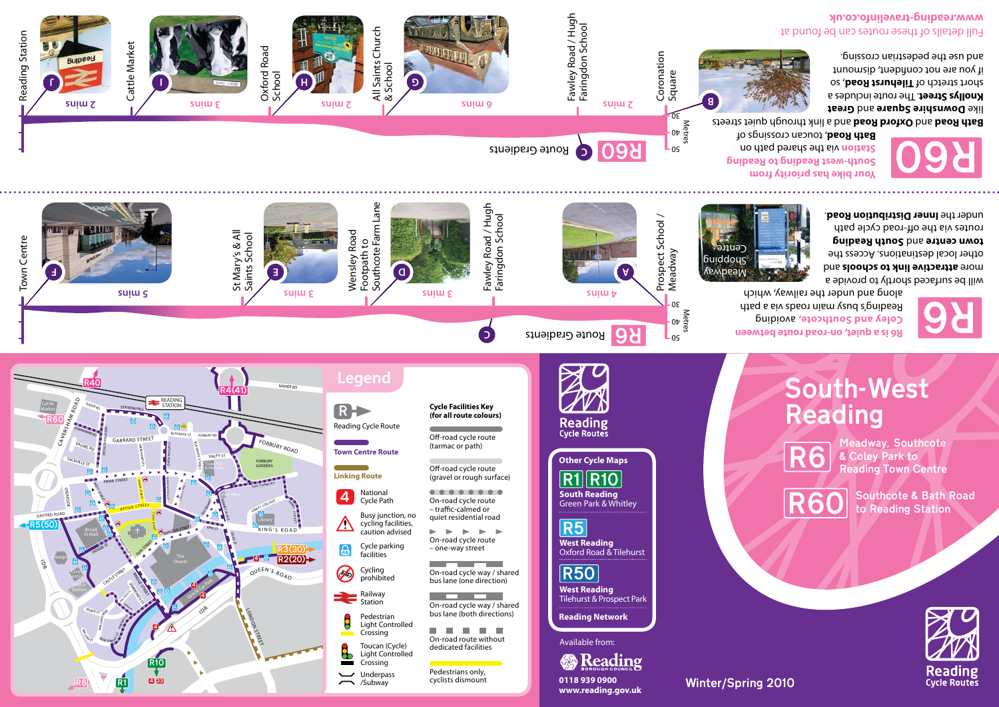

**F E**

St Mary's & All Saints School Wensley Road Footpath to Southcote Farm Lane

**5 mins 3 mins 3 mins 4 mins**

Town Centre

Town Centre

**Light** of

|                                                 | aen                                                                                                                                                  |                                                                                                                                                                         |
|-------------------------------------------------|------------------------------------------------------------------------------------------------------------------------------------------------------|-------------------------------------------------------------------------------------------------------------------------------------------------------------------------|
| Reading Cycle Route<br><b>Town Centre Route</b> |                                                                                                                                                      | Cycle Facilities Key<br>(for all route colours)<br>Off-road cycle route<br>(tarmac or path)                                                                             |
| <b>Linking Route</b>                            |                                                                                                                                                      | Off-road cycle route<br>(gravel or rough surface)                                                                                                                       |
| Δ                                               | National<br><b>Cycle Path</b><br>Busy junction, no<br>cycling facilities,<br>caution advised<br>Cycle parking<br>facilities<br>Cycling<br>prohibited | On-road cycle route<br>- traffic-calmed or<br>quiet residential road<br>On-road cycle route<br>- one-way street<br>On-road cycle way / shai<br>bus lane (one direction) |
|                                                 | Railway<br>Station<br>Pedestrian<br>Light Controlled<br>Crossing<br>Toucan (Cycle)<br>Light Controlled<br>Crossing<br>Underpass<br>/Subway           | On-road cycle way / shai<br>bus lane (both direction:<br>On-road route without<br>dedicated facilities<br>Pedestrians only,<br>cyclists dismount                        |

directions) a a T  $\overline{\mathrm{w}}$ ithout ties ly,  $int$ 

way / shared  $i$ rection) vav / shared **Reading Network West Reading**  Tilehurst & Prospect Park **R50** 

**West Reading**  Oxford Road & Tilehurst R5

/Subway **0118 939 0900 www.reading.gov.uk** 

**B** Reading

Available from:

**South Reading**  Green Park & Whitley  $R1$  $R10$ 

**Other Cycle Maps**

**Reading**<br>Cycle Routes

Route Gradients



Winter/Spring 2010

 avoiding **Coley and Southcote,** along and under the railway, which



will be surfaced shortly to provide a and attractive link to schools and other local destinations. Access the **South Reading** and **town centre**  routes via the off-road cycle path under the **Inner Distribution Road**.



**D**<br>Fawley Road / Hugh<br>Fawley Road / Hugh<br>Fairingdon School

Fawley Road / Hugh Faringdon School

**C**





Meadway, Southcote & Coley Park to Reading Town Centre

## South-West Reading

**R6 is a quiet, on-road route between**  Reading the path of the path of the state of the state of the state of the state of the state of the state of t<br>
Reading's boothroad exists busy the state of the state of the state of the state of the state of the state of

R6

**Kempeal** buiddous Centre

Prospect School / Prospect School /<br>Meadway

> Metres 40  $30 -$

 $\mathsf{L}_{05}$ 

like **Downshire Square** and Great **Knollys Street.** The route includes a short stretch of Tilehurst Road, so if you are not confident, dismount

Full details of these routes can be found at **www.reading-travelinfo.co.uk**